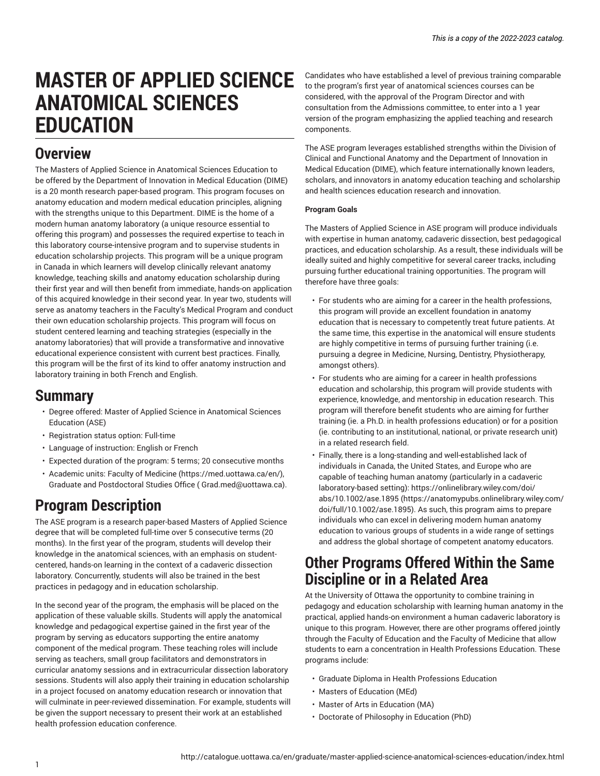# **MASTER OF APPLIED SCIENCE ANATOMICAL SCIENCES EDUCATION**

### **Overview**

The Masters of Applied Science in Anatomical Sciences Education to be offered by the Department of Innovation in Medical Education (DIME) is a 20 month research paper-based program. This program focuses on anatomy education and modern medical education principles, aligning with the strengths unique to this Department. DIME is the home of a modern human anatomy laboratory (a unique resource essential to offering this program) and possesses the required expertise to teach in this laboratory course-intensive program and to supervise students in education scholarship projects. This program will be a unique program in Canada in which learners will develop clinically relevant anatomy knowledge, teaching skills and anatomy education scholarship during their first year and will then benefit from immediate, hands-on application of this acquired knowledge in their second year. In year two, students will serve as anatomy teachers in the Faculty's Medical Program and conduct their own education scholarship projects. This program will focus on student centered learning and teaching strategies (especially in the anatomy laboratories) that will provide a transformative and innovative educational experience consistent with current best practices. Finally, this program will be the first of its kind to offer anatomy instruction and laboratory training in both French and English.

### **Summary**

- Degree offered: Master of Applied Science in Anatomical Sciences Education (ASE)
- Registration status option: Full-time
- Language of instruction: English or French
- Expected duration of the program: 5 terms; 20 consecutive months
- Academic units: Faculty of [Medicine](https://med.uottawa.ca/en/) [\(https://med.uottawa.ca/en/\)](https://med.uottawa.ca/en/), Graduate and [Postdoctoral](mailto: Grad.med@uottawa.ca) Studies Office (<Grad.med@uottawa.ca>).

# **Program Description**

The ASE program is a research paper-based Masters of Applied Science degree that will be completed full-time over 5 consecutive terms (20 months). In the first year of the program, students will develop their knowledge in the anatomical sciences, with an emphasis on studentcentered, hands-on learning in the context of a cadaveric dissection laboratory. Concurrently, students will also be trained in the best practices in pedagogy and in education scholarship.

In the second year of the program, the emphasis will be placed on the application of these valuable skills. Students will apply the anatomical knowledge and pedagogical expertise gained in the first year of the program by serving as educators supporting the entire anatomy component of the medical program. These teaching roles will include serving as teachers, small group facilitators and demonstrators in curricular anatomy sessions and in extracurricular dissection laboratory sessions. Students will also apply their training in education scholarship in a project focused on anatomy education research or innovation that will culminate in peer-reviewed dissemination. For example, students will be given the support necessary to present their work at an established health profession education conference.

Candidates who have established a level of previous training comparable to the program's first year of anatomical sciences courses can be considered, with the approval of the Program Director and with consultation from the Admissions committee, to enter into a 1 year version of the program emphasizing the applied teaching and research components.

The ASE program leverages established strengths within the Division of Clinical and Functional Anatomy and the Department of Innovation in Medical Education (DIME), which feature internationally known leaders, scholars, and innovators in anatomy education teaching and scholarship and health sciences education research and innovation.

#### **Program Goals**

The Masters of Applied Science in ASE program will produce individuals with expertise in human anatomy, cadaveric dissection, best pedagogical practices, and education scholarship. As a result, these individuals will be ideally suited and highly competitive for several career tracks, including pursuing further educational training opportunities. The program will therefore have three goals:

- For students who are aiming for a career in the health professions, this program will provide an excellent foundation in anatomy education that is necessary to competently treat future patients. At the same time, this expertise in the anatomical will ensure students are highly competitive in terms of pursuing further training (i.e. pursuing a degree in Medicine, Nursing, Dentistry, Physiotherapy, amongst others).
- For students who are aiming for a career in health professions education and scholarship, this program will provide students with experience, knowledge, and mentorship in education research. This program will therefore benefit students who are aiming for further training (ie. a Ph.D. in health professions education) or for a position (ie. contributing to an institutional, national, or private research unit) in a related research field.
- Finally, there is a long-standing and well-established lack of individuals in Canada, the United States, and Europe who are capable of teaching human anatomy (particularly in a cadaveric laboratory-based setting): [https://onlinelibrary.wiley.com/doi/](https://anatomypubs.onlinelibrary.wiley.com/doi/full/10.1002/ase.1895) [abs/10.1002/ase.1895](https://anatomypubs.onlinelibrary.wiley.com/doi/full/10.1002/ase.1895) ([https://anatomypubs.onlinelibrary.wiley.com/](https://anatomypubs.onlinelibrary.wiley.com/doi/full/10.1002/ase.1895) [doi/full/10.1002/ase.1895\)](https://anatomypubs.onlinelibrary.wiley.com/doi/full/10.1002/ase.1895). As such, this program aims to prepare individuals who can excel in delivering modern human anatomy education to various groups of students in a wide range of settings and address the global shortage of competent anatomy educators.

### **Other Programs Offered Within the Same Discipline or in a Related Area**

At the University of Ottawa the opportunity to combine training in pedagogy and education scholarship with learning human anatomy in the practical, applied hands-on environment a human cadaveric laboratory is unique to this program. However, there are other programs offered jointly through the Faculty of Education and the Faculty of Medicine that allow students to earn a concentration in Health Professions Education. These programs include:

- Graduate Diploma in Health Professions Education
- Masters of Education (MEd)
- Master of Arts in Education (MA)
- Doctorate of Philosophy in Education (PhD)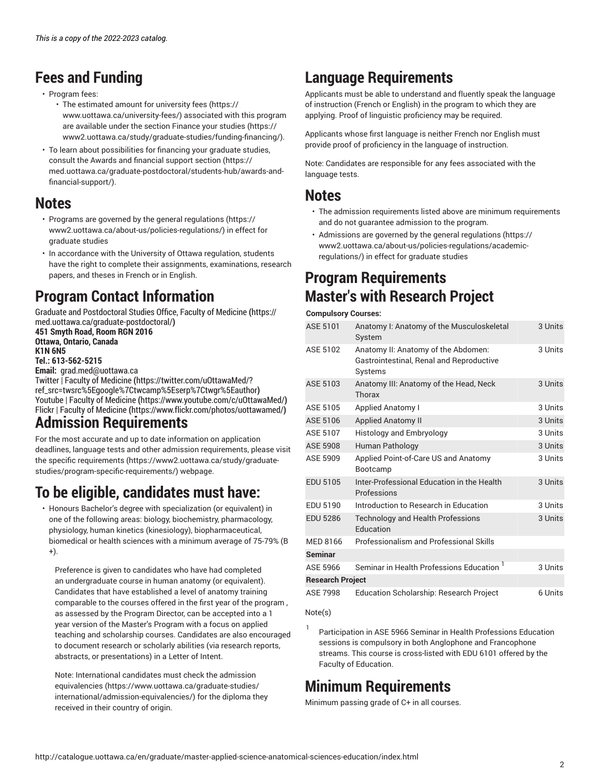# **Fees and Funding**

- Program fees:
	- The estimated amount for [university](https://www.uottawa.ca/university-fees/) fees [\(https://](https://www.uottawa.ca/university-fees/) [www.uottawa.ca/university-fees/](https://www.uottawa.ca/university-fees/)) associated with this program are available under the section [Finance](https://www2.uottawa.ca/study/graduate-studies/funding-financing/) your studies [\(https://](https://www2.uottawa.ca/study/graduate-studies/funding-financing/) [www2.uottawa.ca/study/graduate-studies/funding-financing/\)](https://www2.uottawa.ca/study/graduate-studies/funding-financing/).
- To learn about possibilities for financing your graduate studies, consult the Awards and [financial](https://med.uottawa.ca/graduate-postdoctoral/students-hub/awards-and-financial-support/) support section [\(https://](https://med.uottawa.ca/graduate-postdoctoral/students-hub/awards-and-financial-support/) [med.uottawa.ca/graduate-postdoctoral/students-hub/awards-and](https://med.uottawa.ca/graduate-postdoctoral/students-hub/awards-and-financial-support/)[financial-support/\)](https://med.uottawa.ca/graduate-postdoctoral/students-hub/awards-and-financial-support/).

### **Notes**

- Programs are governed by the general [regulations \(https://](https://www2.uottawa.ca/about-us/policies-regulations/) [www2.uottawa.ca/about-us/policies-regulations/\)](https://www2.uottawa.ca/about-us/policies-regulations/) in effect for graduate studies
- In accordance with the University of Ottawa regulation, students have the right to complete their assignments, examinations, research papers, and theses in French or in English.

# **Program Contact Information**

Graduate and [Postdoctoral](https://med.uottawa.ca/graduate-postdoctoral/) Studies Office, Faculty of Medicine **(**[https://](https://med.uottawa.ca/graduate-postdoctoral/) [med.uottawa.ca/graduate-postdoctoral/](https://med.uottawa.ca/graduate-postdoctoral/)**) 451 Smyth Road, Room RGN 2016**

**Ottawa, Ontario, Canada K1N 6N5 Tel.: 613-562-5215**

**Email:** [grad.med@uottawa.ca](mailto:grad.med@uottawa.ca)

Twitter | Faculty of [Medicine](https://twitter.com/uOttawaMed/?ref_src=twsrc%5Egoogle%7Ctwcamp%5Eserp%7Ctwgr%5Eauthor) **(**[https://twitter.com/uOttawaMed/?](https://twitter.com/uOttawaMed/?ref_src=twsrc%5Egoogle%7Ctwcamp%5Eserp%7Ctwgr%5Eauthor) [ref\\_src=twsrc%5Egoogle%7Ctwcamp%5Eserp%7Ctwgr%5Eauthor](https://twitter.com/uOttawaMed/?ref_src=twsrc%5Egoogle%7Ctwcamp%5Eserp%7Ctwgr%5Eauthor)**)** Youtube | Faculty of [Medicine](https://www.youtube.com/c/uOttawaMed/) **(**<https://www.youtube.com/c/uOttawaMed/>**)** Flickr | Faculty of [Medicine](https://www.flickr.com/photos/uottawamed/) **(**<https://www.flickr.com/photos/uottawamed/>**)**

### **Admission Requirements**

For the most accurate and up to date information on application deadlines, language tests and other admission requirements, please visit the specific [requirements](https://www2.uottawa.ca/study/graduate-studies/program-specific-requirements/) ([https://www2.uottawa.ca/study/graduate](https://www2.uottawa.ca/study/graduate-studies/program-specific-requirements/)[studies/program-specific-requirements/](https://www2.uottawa.ca/study/graduate-studies/program-specific-requirements/)) webpage.

# **To be eligible, candidates must have:**

• Honours Bachelor's degree with specialization (or equivalent) in one of the following areas: biology, biochemistry, pharmacology, physiology, human kinetics (kinesiology), biopharmaceutical, biomedical or health sciences with a minimum average of 75-79% (B +).

Preference is given to candidates who have had completed an undergraduate course in human anatomy (or equivalent). Candidates that have established a level of anatomy training comparable to the courses offered in the first year of the program , as assessed by the Program Director, can be accepted into a 1 year version of the Master's Program with a focus on applied teaching and scholarship courses. Candidates are also encouraged to document research or scholarly abilities (via research reports, abstracts, or presentations) in a Letter of Intent.

Note: International candidates must check the [admission](https://www.uottawa.ca/graduate-studies/international/admission-equivalencies/) [equivalencies](https://www.uottawa.ca/graduate-studies/international/admission-equivalencies/) ([https://www.uottawa.ca/graduate-studies/](https://www.uottawa.ca/graduate-studies/international/admission-equivalencies/) [international/admission-equivalencies/\)](https://www.uottawa.ca/graduate-studies/international/admission-equivalencies/) for the diploma they received in their country of origin.

# **Language Requirements**

Applicants must be able to understand and fluently speak the language of instruction (French or English) in the program to which they are applying. Proof of linguistic proficiency may be required.

Applicants whose first language is neither French nor English must provide proof of proficiency in the language of instruction.

Note: Candidates are responsible for any fees associated with the language tests.

### **Notes**

- The admission requirements listed above are minimum requirements and do not guarantee admission to the program.
- Admissions are governed by the general [regulations](https://www2.uottawa.ca/about-us/policies-regulations/academic-regulations/) ([https://](https://www2.uottawa.ca/about-us/policies-regulations/academic-regulations/) [www2.uottawa.ca/about-us/policies-regulations/academic](https://www2.uottawa.ca/about-us/policies-regulations/academic-regulations/)[regulations/](https://www2.uottawa.ca/about-us/policies-regulations/academic-regulations/)) in effect for graduate studies

# **Program Requirements Master's with Research Project**

#### **Compulsory Courses:**

| ASE 5101                | Anatomy I: Anatomy of the Musculoskeletal<br>System                                        | 3 Units |
|-------------------------|--------------------------------------------------------------------------------------------|---------|
| ASE 5102                | Anatomy II: Anatomy of the Abdomen:<br>Gastrointestinal, Renal and Reproductive<br>Systems | 3 Units |
| ASE 5103                | Anatomy III: Anatomy of the Head, Neck<br>Thorax                                           | 3 Units |
| ASE 5105                | <b>Applied Anatomy I</b>                                                                   | 3 Units |
| ASE 5106                | <b>Applied Anatomy II</b>                                                                  | 3 Units |
| ASE 5107                | <b>Histology and Embryology</b>                                                            | 3 Units |
| <b>ASE 5908</b>         | Human Pathology                                                                            | 3 Units |
| ASE 5909                | Applied Point-of-Care US and Anatomy<br>Bootcamp                                           | 3 Units |
| <b>EDU 5105</b>         | Inter-Professional Education in the Health<br>Professions                                  | 3 Units |
| EDU 5190                | Introduction to Research in Education                                                      | 3 Units |
| <b>EDU 5286</b>         | <b>Technology and Health Professions</b><br>Education                                      | 3 Units |
| MED 8166                | Professionalism and Professional Skills                                                    |         |
| <b>Seminar</b>          |                                                                                            |         |
| ASE 5966                | Seminar in Health Professions Education <sup>1</sup>                                       | 3 Units |
| <b>Research Project</b> |                                                                                            |         |
| <b>ASE 7998</b>         | <b>Education Scholarship: Research Project</b>                                             | 6 Units |

#### Note(s)

1 Participation in ASE 5966 Seminar in Health Professions Education sessions is compulsory in both Anglophone and Francophone streams. This course is cross-listed with EDU 6101 offered by the Faculty of Education.

# **Minimum Requirements**

Minimum passing grade of C+ in all courses.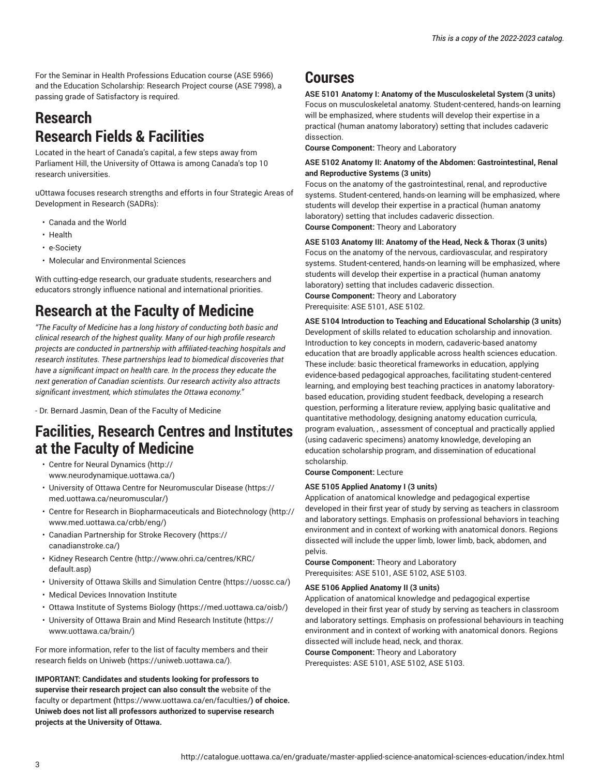For the Seminar in Health Professions Education course (ASE 5966) and the Education Scholarship: Research Project course (ASE 7998), a passing grade of Satisfactory is required.

### **Research Research Fields & Facilities**

Located in the heart of Canada's capital, a few steps away from Parliament Hill, the University of Ottawa is among Canada's top 10 research universities.

uOttawa focuses research strengths and efforts in four Strategic Areas of Development in Research (SADRs):

- Canada and the World
- Health
- e-Society
- Molecular and Environmental Sciences

With cutting-edge research, our graduate students, researchers and educators strongly influence national and international priorities.

# **Research at the Faculty of Medicine**

*"The Faculty of Medicine has a long history of conducting both basic and clinical research of the highest quality. Many of our high profile research projects are conducted in partnership with affiliated-teaching hospitals and research institutes. These partnerships lead to biomedical discoveries that have a significant impact on health care. In the process they educate the next generation of Canadian scientists. Our research activity also attracts significant investment, which stimulates the Ottawa economy."*

- Dr. Bernard Jasmin, Dean of the Faculty of Medicine

### **Facilities, Research Centres and Institutes at the Faculty of Medicine**

- Centre for Neural [Dynamics \(http://](http://www.neurodynamique.uottawa.ca/) [www.neurodynamique.uottawa.ca/\)](http://www.neurodynamique.uottawa.ca/)
- University of Ottawa Centre for [Neuromuscular](https://med.uottawa.ca/neuromuscular/) Disease ([https://](https://med.uottawa.ca/neuromuscular/) [med.uottawa.ca/neuromuscular/\)](https://med.uottawa.ca/neuromuscular/)
- Centre for Research in [Biopharmaceuticals](http://www.med.uottawa.ca/crbb/eng/) and Biotechnology [\(http://](http://www.med.uottawa.ca/crbb/eng/) [www.med.uottawa.ca/crbb/eng/](http://www.med.uottawa.ca/crbb/eng/))
- Canadian [Partnership](https://canadianstroke.ca/) for Stroke Recovery ([https://](https://canadianstroke.ca/) [canadianstroke.ca/\)](https://canadianstroke.ca/)
- Kidney [Research](http://www.ohri.ca/centres/KRC/default.asp) Centre [\(http://www.ohri.ca/centres/KRC/](http://www.ohri.ca/centres/KRC/default.asp) [default.asp](http://www.ohri.ca/centres/KRC/default.asp))
- University of Ottawa Skills and [Simulation](https://uossc.ca/) Centre ([https://uossc.ca/\)](https://uossc.ca/)
- Medical Devices Innovation Institute
- [Ottawa Institute of Systems Biology](https://med.uottawa.ca/oisb/) (<https://med.uottawa.ca/oisb/>)
- [University](https://www.uottawa.ca/brain/) of Ottawa Brain and Mind Research Institute ([https://](https://www.uottawa.ca/brain/) [www.uottawa.ca/brain/\)](https://www.uottawa.ca/brain/)

For more information, refer to the list of faculty members and their research fields on [Uniweb](https://uniweb.uottawa.ca/) ([https://uniweb.uottawa.ca/\)](https://uniweb.uottawa.ca/).

**IMPORTANT: Candidates and students looking for professors to supervise their research project can also consult the** [website of the](https://www.uottawa.ca/en/faculties/) faculty or [department](https://www.uottawa.ca/en/faculties/) **(**<https://www.uottawa.ca/en/faculties/>**) of choice. Uniweb does not list all professors authorized to supervise research projects at the University of Ottawa.**

### **Courses**

**ASE 5101 Anatomy I: Anatomy of the Musculoskeletal System (3 units)** Focus on musculoskeletal anatomy. Student-centered, hands-on learning will be emphasized, where students will develop their expertise in a practical (human anatomy laboratory) setting that includes cadaveric dissection.

**Course Component:** Theory and Laboratory

#### **ASE 5102 Anatomy II: Anatomy of the Abdomen: Gastrointestinal, Renal and Reproductive Systems (3 units)**

Focus on the anatomy of the gastrointestinal, renal, and reproductive systems. Student-centered, hands-on learning will be emphasized, where students will develop their expertise in a practical (human anatomy laboratory) setting that includes cadaveric dissection. **Course Component:** Theory and Laboratory

**ASE 5103 Anatomy III: Anatomy of the Head, Neck & Thorax (3 units)** Focus on the anatomy of the nervous, cardiovascular, and respiratory systems. Student-centered, hands-on learning will be emphasized, where students will develop their expertise in a practical (human anatomy laboratory) setting that includes cadaveric dissection. **Course Component:** Theory and Laboratory Prerequisite: ASE 5101, ASE 5102.

#### **ASE 5104 Introduction to Teaching and Educational Scholarship (3 units)** Development of skills related to education scholarship and innovation.

Introduction to key concepts in modern, cadaveric-based anatomy education that are broadly applicable across health sciences education. These include: basic theoretical frameworks in education, applying evidence-based pedagogical approaches, facilitating student-centered learning, and employing best teaching practices in anatomy laboratorybased education, providing student feedback, developing a research question, performing a literature review, applying basic qualitative and quantitative methodology, designing anatomy education curricula, program evaluation, , assessment of conceptual and practically applied (using cadaveric specimens) anatomy knowledge, developing an education scholarship program, and dissemination of educational scholarship.

**Course Component:** Lecture

#### **ASE 5105 Applied Anatomy I (3 units)**

Application of anatomical knowledge and pedagogical expertise developed in their first year of study by serving as teachers in classroom and laboratory settings. Emphasis on professional behaviors in teaching environment and in context of working with anatomical donors. Regions dissected will include the upper limb, lower limb, back, abdomen, and pelvis.

**Course Component:** Theory and Laboratory Prerequisites: ASE 5101, ASE 5102, ASE 5103.

#### **ASE 5106 Applied Anatomy II (3 units)**

Application of anatomical knowledge and pedagogical expertise developed in their first year of study by serving as teachers in classroom and laboratory settings. Emphasis on professional behaviours in teaching environment and in context of working with anatomical donors. Regions dissected will include head, neck, and thorax.

**Course Component:** Theory and Laboratory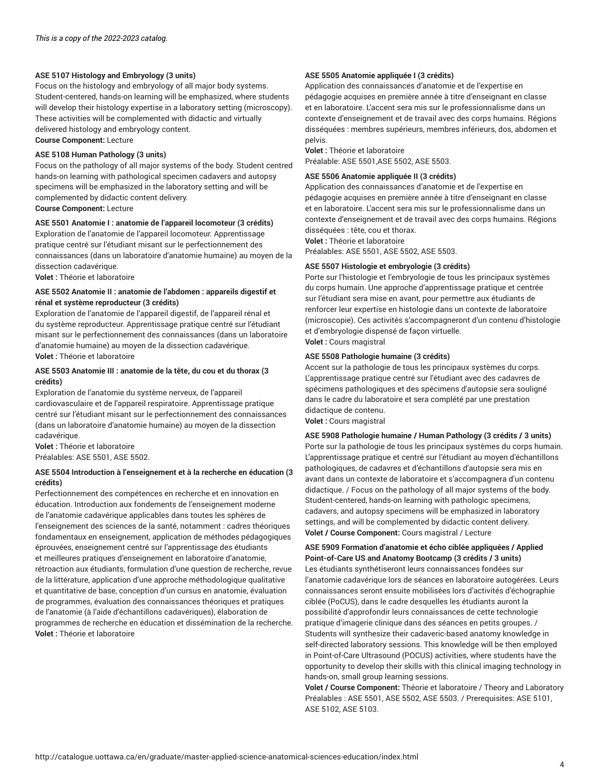#### **ASE 5107 Histology and Embryology (3 units)**

Focus on the histology and embryology of all major body systems. Student-centered, hands-on learning will be emphasized, where students will develop their histology expertise in a laboratory setting (microscopy). These activities will be complemented with didactic and virtually delivered histology and embryology content. **Course Component:** Lecture

#### **ASE 5108 Human Pathology (3 units)**

Focus on the pathology of all major systems of the body. Student centred hands-on learning with pathological specimen cadavers and autopsy specimens will be emphasized in the laboratory setting and will be complemented by didactic content delivery.

**Course Component:** Lecture

#### **ASE 5501 Anatomie I : anatomie de l'appareil locomoteur (3 crédits)**

Exploration de l'anatomie de l'appareil locomoteur. Apprentissage pratique centré sur l'étudiant misant sur le perfectionnement des connaissances (dans un laboratoire d'anatomie humaine) au moyen de la dissection cadavérique.

**Volet :** Théorie et laboratoire

#### **ASE 5502 Anatomie II : anatomie de l'abdomen : appareils digestif et rénal et système reproducteur (3 crédits)**

Exploration de l'anatomie de l'appareil digestif, de l'appareil rénal et du système reproducteur. Apprentissage pratique centré sur l'étudiant misant sur le perfectionnement des connaissances (dans un laboratoire d'anatomie humaine) au moyen de la dissection cadavérique. **Volet :** Théorie et laboratoire

#### **ASE 5503 Anatomie III : anatomie de la tête, du cou et du thorax (3 crédits)**

Exploration de l'anatomie du système nerveux, de l'appareil cardiovasculaire et de l'appareil respiratoire. Apprentissage pratique centré sur l'étudiant misant sur le perfectionnement des connaissances (dans un laboratoire d'anatomie humaine) au moyen de la dissection cadavérique.

**Volet :** Théorie et laboratoire Préalables: ASE 5501, ASE 5502.

#### **ASE 5504 Introduction à l'enseignement et à la recherche en éducation (3 crédits)**

Perfectionnement des compétences en recherche et en innovation en éducation. Introduction aux fondements de l'enseignement moderne de l'anatomie cadavérique applicables dans toutes les sphères de l'enseignement des sciences de la santé, notamment : cadres théoriques fondamentaux en enseignement, application de méthodes pédagogiques éprouvées, enseignement centré sur l'apprentissage des étudiants et meilleures pratiques d'enseignement en laboratoire d'anatomie, rétroaction aux étudiants, formulation d'une question de recherche, revue de la littérature, application d'une approche méthodologique qualitative et quantitative de base, conception d'un cursus en anatomie, évaluation de programmes, évaluation des connaissances théoriques et pratiques de l'anatomie (à l'aide d'échantillons cadavériques), élaboration de programmes de recherche en éducation et dissémination de la recherche. **Volet :** Théorie et laboratoire

#### **ASE 5505 Anatomie appliquée I (3 crédits)**

Application des connaissances d'anatomie et de l'expertise en pédagogie acquises en première année à titre d'enseignant en classe et en laboratoire. L'accent sera mis sur le professionnalisme dans un contexte d'enseignement et de travail avec des corps humains. Régions disséquées : membres supérieurs, membres inférieurs, dos, abdomen et pelvis.

#### **Volet :** Théorie et laboratoire

Préalable: ASE 5501,ASE 5502, ASE 5503.

#### **ASE 5506 Anatomie appliquée II (3 crédits)**

Application des connaissances d'anatomie et de l'expertise en pédagogie acquises en première année à titre d'enseignant en classe et en laboratoire. L'accent sera mis sur le professionnalisme dans un contexte d'enseignement et de travail avec des corps humains. Régions disséquées : tête, cou et thorax.

**Volet :** Théorie et laboratoire

Préalables: ASE 5501, ASE 5502, ASE 5503.

#### **ASE 5507 Histologie et embryologie (3 crédits)**

Porte sur l'histologie et l'embryologie de tous les principaux systèmes du corps humain. Une approche d'apprentissage pratique et centrée sur l'étudiant sera mise en avant, pour permettre aux étudiants de renforcer leur expertise en histologie dans un contexte de laboratoire (microscopie). Ces activités s'accompagneront d'un contenu d'histologie et d'embryologie dispensé de façon virtuelle. **Volet :** Cours magistral

#### **ASE 5508 Pathologie humaine (3 crédits)**

Accent sur la pathologie de tous les principaux systèmes du corps. L'apprentissage pratique centré sur l'étudiant avec des cadavres de spécimens pathologiques et des spécimens d'autopsie sera souligné dans le cadre du laboratoire et sera complété par une prestation didactique de contenu.

**Volet :** Cours magistral

#### **ASE 5908 Pathologie humaine / Human Pathology (3 crédits / 3 units)**

Porte sur la pathologie de tous les principaux systèmes du corps humain. L'apprentissage pratique et centré sur l'étudiant au moyen d'échantillons pathologiques, de cadavres et d'échantillons d'autopsie sera mis en avant dans un contexte de laboratoire et s'accompagnera d'un contenu didactique. / Focus on the pathology of all major systems of the body. Student-centered, hands-on learning with pathologic specimens, cadavers, and autopsy specimens will be emphasized in laboratory settings, and will be complemented by didactic content delivery. **Volet / Course Component:** Cours magistral / Lecture

**ASE 5909 Formation d'anatomie et écho ciblée appliquées / Applied Point-of-Care US and Anatomy Bootcamp (3 crédits / 3 units)** Les étudiants synthétiseront leurs connaissances fondées sur l'anatomie cadavérique lors de séances en laboratoire autogérées. Leurs connaissances seront ensuite mobilisées lors d'activités d'échographie ciblée (PoCUS), dans le cadre desquelles les étudiants auront la possibilité d'approfondir leurs connaissances de cette technologie pratique d'imagerie clinique dans des séances en petits groupes. / Students will synthesize their cadaveric-based anatomy knowledge in self-directed laboratory sessions. This knowledge will be then employed in Point-of-Care Ultrasound (POCUS) activities, where students have the opportunity to develop their skills with this clinical imaging technology in hands-on, small group learning sessions.

**Volet / Course Component:** Théorie et laboratoire / Theory and Laboratory Préalables : ASE 5501, ASE 5502, ASE 5503. / Prerequisites: ASE 5101, ASE 5102, ASE 5103.